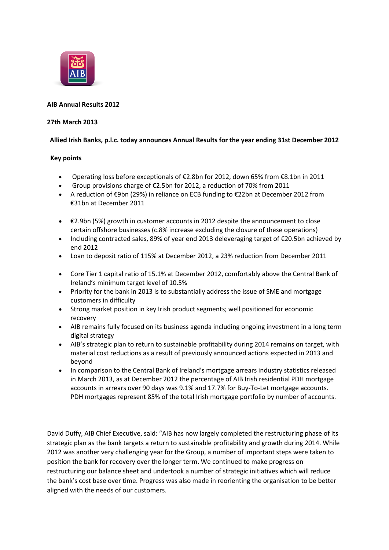

# **AIB Annual Results 2012**

### **27th March 2013**

## **Allied Irish Banks, p.l.c. today announces Annual Results for the year ending 31st December 2012**

## **Key points**

- Operating loss before exceptionals of €2.8bn for 2012, down 65% from €8.1bn in 2011
- Group provisions charge of €2.5bn for 2012, a reduction of 70% from 2011
- A reduction of €9bn (29%) in reliance on ECB funding to €22bn at December 2012 from €31bn at December 2011
- €2.9bn (5%) growth in customer accounts in 2012 despite the announcement to close certain offshore businesses (c.8% increase excluding the closure of these operations)
- Including contracted sales, 89% of year end 2013 deleveraging target of €20.5bn achieved by end 2012
- Loan to deposit ratio of 115% at December 2012, a 23% reduction from December 2011
- Core Tier 1 capital ratio of 15.1% at December 2012, comfortably above the Central Bank of Ireland's minimum target level of 10.5%
- Priority for the bank in 2013 is to substantially address the issue of SME and mortgage customers in difficulty
- Strong market position in key Irish product segments; well positioned for economic recovery
- AIB remains fully focused on its business agenda including ongoing investment in a long term digital strategy
- AIB's strategic plan to return to sustainable profitability during 2014 remains on target, with material cost reductions as a result of previously announced actions expected in 2013 and beyond
- In comparison to the Central Bank of Ireland's mortgage arrears industry statistics released in March 2013, as at December 2012 the percentage of AIB Irish residential PDH mortgage accounts in arrears over 90 days was 9.1% and 17.7% for Buy-To-Let mortgage accounts. PDH mortgages represent 85% of the total Irish mortgage portfolio by number of accounts.

David Duffy, AIB Chief Executive, said: "AIB has now largely completed the restructuring phase of its strategic plan as the bank targets a return to sustainable profitability and growth during 2014. While 2012 was another very challenging year for the Group, a number of important steps were taken to position the bank for recovery over the longer term. We continued to make progress on restructuring our balance sheet and undertook a number of strategic initiatives which will reduce the bank's cost base over time. Progress was also made in reorienting the organisation to be better aligned with the needs of our customers.